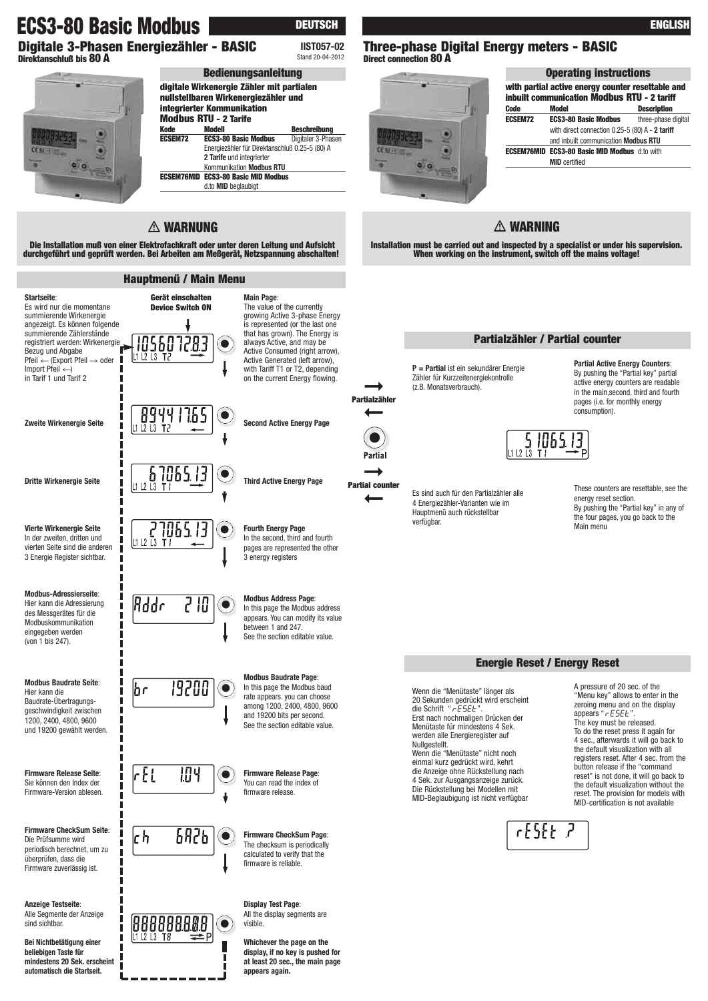# **ECS3-80 Basic Modbus DEUTSCH**

**Digitale 3-Phasen Energiezähler - BASIC Direktanschluß bis 80 A**



#### Stand 20-04-2012 **digitale Wirkenergie Zähler mit partialen nullstellbaren Wirkenergiezähler und integrierter Kommunikation Modbus RTU - 2 Tarife Kode Modell Beschreibung ECS3-80 Basic Modbus** Energiezähler für Direktanschluß 0.25-5 (80) A **2 Tarife** und integrierter Kommunikation **Modbus RTU ECSEM76MID ECS3-80 Basic MID Modbus** d.to **MID** beglaubigt **Bedienungsanleitung**

**IIST057-02**

## **WARNUNG**

**Die Installation muß von einer Elektrofachkraft oder unter deren Leitung und Aufsicht durchgeführt und geprüft werden. Bei Arbeiten am Meßgerät, Netzspannung abschalten!**



**Modbus Address Page**: In this page the Modbus address appears. You can modify its value between 1 and 247. See the section editable value.

**Modbus Baudrate Page**: In this page the Modbus baud rate appears. you can choose among 1200, 2400, 4800, 9600 and 19200 bits per second. See the section editable value.

**Firmware Release Page**: You can read the index of

**Display Test Page**: All the display segments are

**Whichever the page on the display, if no key is pushed for at least 20 sec., the main page**

### **Three-phase Digital Energy meters - BASIC Direct connection 80 A**



| <b>Operating instructions</b>                                                                    |                                                      |                     |  |  |  |  |
|--------------------------------------------------------------------------------------------------|------------------------------------------------------|---------------------|--|--|--|--|
| with partial active energy counter resettable and<br>inbuilt communication Modbus RTU - 2 tariff |                                                      |                     |  |  |  |  |
| Code                                                                                             | Model                                                | <b>Description</b>  |  |  |  |  |
| <b>ECSEM72</b>                                                                                   | <b>ECS3-80 Basic Modbus</b>                          | three-phase digital |  |  |  |  |
|                                                                                                  | with direct connection $0.25-5$ (80) A - 2 tariff    |                     |  |  |  |  |
|                                                                                                  | and inbuilt communication Modbus RTU                 |                     |  |  |  |  |
|                                                                                                  | <b>ECSEM76MID ECS3-80 Basic MID Modbus</b> d.to with |                     |  |  |  |  |
|                                                                                                  | <b>MID</b> certified                                 |                     |  |  |  |  |

## **WARNING**

**Installation must be carried out and inspected by a specialist or under his supervision. When working on the instrument, switch off the mains voltage!**

### **Partialzähler / Partial counter**

**P = Partial** ist ein sekundärer Energie Zähler für Kurzzeitenergiekontrolle (z.B. Monatsverbrauch).

106

Es sind auch für den Partialzähler alle 4 Energiezähler-Varianten wie im Hauptmenü auch rückstellbar verfügbar.

active energy counters are readable in the main second, third and fourth pages (i.e. for monthly energy consumption).

**Partial Active Energy Counters**: By pushing the "Partial key" partial



These counters are resettable, see the energy reset section. By pushing the "Partial key" in any of the four pages, you go back to the Main menu

#### **Energie Reset / Energy Reset**

Wenn die "Menütaste" länger als 20 Sekunden gedrückt wird erscheint<br>die Schrift "**rESEE**". Erst nach nochmaligen Drücken der Menütaste für mindestens 4 Sek. werden alle Energieregister auf Nullgestellt. Wenn die "Menütaste" nicht noch einmal kurz gedrückt wird, kehrt die Anzeige ohne Rückstellung nach 4 Sek. zur Ausgangsanzeige zurück. Die Rückstellung bei Modellen mit MID-Beglaubigung ist nicht verfügbar

A pressure of 20 sec. of the "Menu key" allows to enter in the zeroing menu and on the display appears " $r$  $E$  $SE$  $F$ " The key must be released. To do the reset press it again for 4 sec., afterwards it will go back to the default visualization with all registers reset. After 4 sec. from the button release if the "command reset" is not done, it will go back to the default visualization without the reset. The provision for models with MID-certification is not available



**ENGLISH**

**➞ Partial counter ➞**

**Partialzähler**

**➞**

 $\bullet$ 

Partial

**➞**

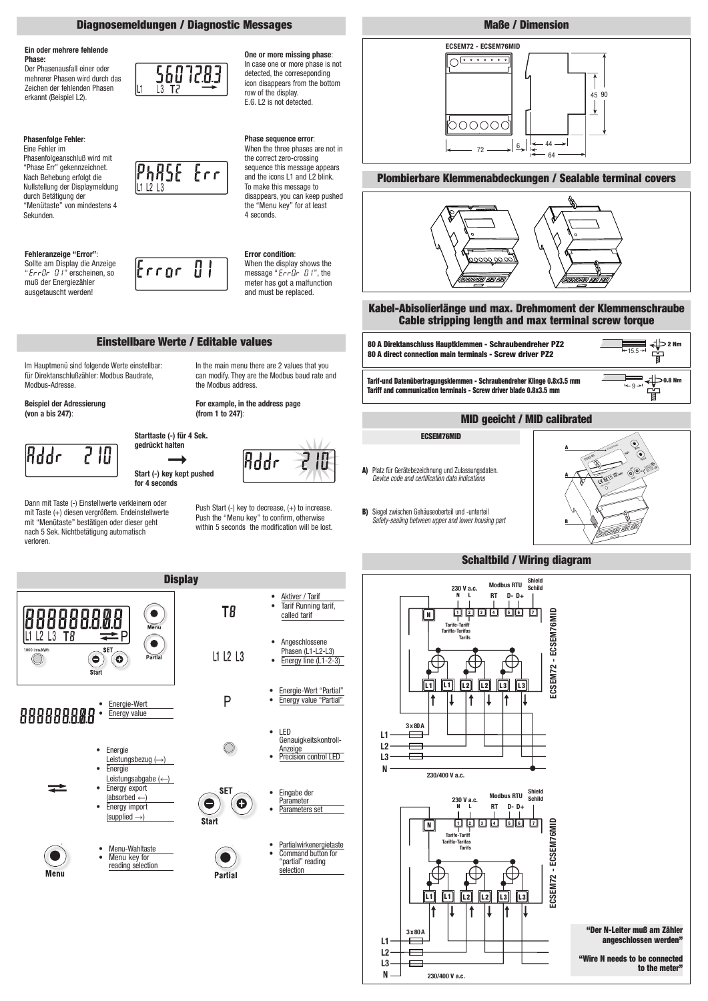

**230/400 V a.c.**

**to the meter"**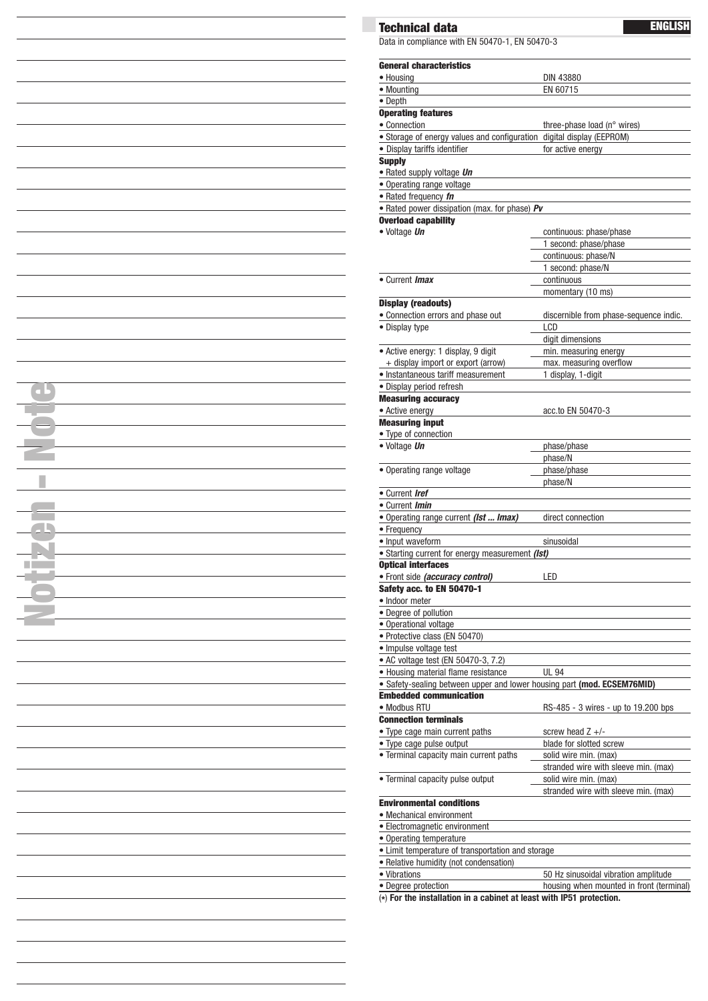| H. |  |
|----|--|
|    |  |
|    |  |
|    |  |
|    |  |
|    |  |
|    |  |
|    |  |
|    |  |
|    |  |
|    |  |
|    |  |
|    |  |
|    |  |
|    |  |
|    |  |
|    |  |
|    |  |
|    |  |
|    |  |
|    |  |
|    |  |
|    |  |
|    |  |
|    |  |
|    |  |
|    |  |
|    |  |
|    |  |
|    |  |

 $\overline{\phantom{a}}$ 

## **Technical data**

Data in compliance with EN 50470-1, EN 50470-3

**ENGLISH**

| <b>General characteristics</b>                                                        |                                        |  |  |
|---------------------------------------------------------------------------------------|----------------------------------------|--|--|
| • Housing                                                                             | <b>DIN 43880</b>                       |  |  |
| • Mounting                                                                            | EN 60715                               |  |  |
| • Depth                                                                               |                                        |  |  |
| <b>Operating features</b>                                                             |                                        |  |  |
| • Connection<br>· Storage of energy values and configuration digital display (EEPROM) | three-phase load (n° wires)            |  |  |
| · Display tariffs identifier                                                          | for active energy                      |  |  |
| <b>Supply</b>                                                                         |                                        |  |  |
| · Rated supply voltage Un                                                             |                                        |  |  |
| • Operating range voltage                                                             |                                        |  |  |
| • Rated frequency fn                                                                  |                                        |  |  |
| • Rated power dissipation (max. for phase) Pv                                         |                                        |  |  |
| <b>Overload capability</b>                                                            |                                        |  |  |
| • Voltage Un                                                                          | continuous: phase/phase                |  |  |
|                                                                                       | 1 second: phase/phase                  |  |  |
|                                                                                       | continuous: phase/N                    |  |  |
|                                                                                       | 1 second: phase/N                      |  |  |
| • Current <i>Imax</i>                                                                 | continuous                             |  |  |
| <b>Display (readouts)</b>                                                             | momentary (10 ms)                      |  |  |
| · Connection errors and phase out                                                     | discernible from phase-sequence indic. |  |  |
| • Display type                                                                        | LCD                                    |  |  |
|                                                                                       | digit dimensions                       |  |  |
| · Active energy: 1 display, 9 digit                                                   | min. measuring energy                  |  |  |
| + display import or export (arrow)                                                    | max. measuring overflow                |  |  |
| • Instantaneous tariff measurement                                                    | 1 display, 1-digit                     |  |  |
| · Display period refresh                                                              |                                        |  |  |
| <b>Measuring accuracy</b>                                                             |                                        |  |  |
| • Active energy                                                                       | acc.to EN 50470-3                      |  |  |
| <b>Measuring input</b>                                                                |                                        |  |  |
| • Type of connection                                                                  |                                        |  |  |
| · Voltage Un                                                                          | phase/phase                            |  |  |
|                                                                                       | phase/N                                |  |  |
| • Operating range voltage                                                             | phase/phase<br>phase/N                 |  |  |
| • Current <i>Iref</i>                                                                 |                                        |  |  |
| • Current <i>Imin</i>                                                                 |                                        |  |  |
| . Operating range current (Ist  Imax)                                                 | direct connection                      |  |  |
| • Frequency                                                                           |                                        |  |  |
| • Input waveform                                                                      | sinusoidal                             |  |  |
| • Starting current for energy measurement (Ist)                                       |                                        |  |  |
| <b>Optical interfaces</b>                                                             |                                        |  |  |
| · Front side (accuracy control)                                                       | LED                                    |  |  |
| <b>Safety acc. to EN 50470-1</b>                                                      |                                        |  |  |
| · Indoor meter                                                                        |                                        |  |  |
| • Degree of pollution                                                                 |                                        |  |  |
| • Operational voltage<br>· Protective class (EN 50470)                                |                                        |  |  |
| · Impulse voltage test                                                                |                                        |  |  |
| • AC voltage test (EN 50470-3, 7.2)                                                   |                                        |  |  |
| • Housing material flame resistance                                                   | <b>UL 94</b>                           |  |  |
| • Safety-sealing between upper and lower housing part (mod. ECSEM76MID)               |                                        |  |  |
| <b>Embedded communication</b>                                                         |                                        |  |  |
| • Modbus RTU                                                                          | RS-485 - 3 wires - up to 19.200 bps    |  |  |
| <b>Connection terminals</b>                                                           |                                        |  |  |
| • Type cage main current paths                                                        | screw head $Z +/-$                     |  |  |
| • Type cage pulse output                                                              | blade for slotted screw                |  |  |
| • Terminal capacity main current paths                                                | solid wire min. (max)                  |  |  |
|                                                                                       | stranded wire with sleeve min. (max)   |  |  |
| • Terminal capacity pulse output                                                      | solid wire min. (max)                  |  |  |
| <b>Environmental conditions</b>                                                       | stranded wire with sleeve min. (max)   |  |  |
|                                                                                       |                                        |  |  |
| • Mechanical environment<br>• Electromagnetic environment                             |                                        |  |  |
| • Operating temperature                                                               |                                        |  |  |
| · Limit temperature of transportation and storage                                     |                                        |  |  |
|                                                                                       |                                        |  |  |
|                                                                                       |                                        |  |  |
| · Relative humidity (not condensation)<br>• Vibrations                                | 50 Hz sinusoidal vibration amplitude   |  |  |

(**\***) **For the installation in a cabinet at least with IP51 protection.**